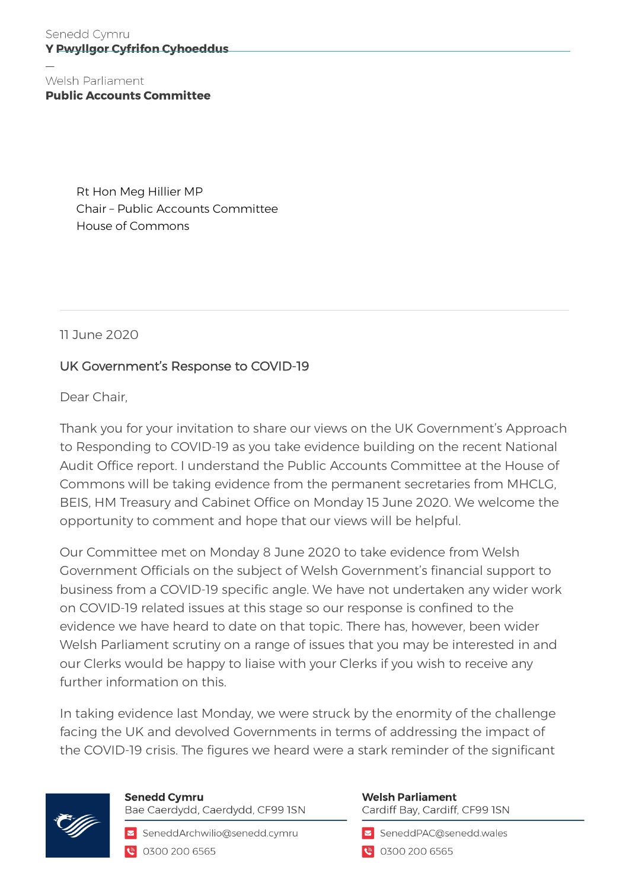Welsh Parliament **Public Accounts Committee** 

> Rt Hon Meg Hillier MP Chair – Public Accounts Committee House of Commons

11 June 2020

# UK Government's Response to COVID-19

Dear Chair,

Thank you for your invitation to share our views on the UK Government's Approach to Responding to COVID-19 as you take evidence building on the recent National Audit Office report. I understand the Public Accounts Committee at the House of Commons will be taking evidence from the permanent secretaries from MHCLG, BEIS, HM Treasury and Cabinet Office on Monday 15 June 2020. We welcome the opportunity to comment and hope that our views will be helpful.

Our Committee met on Monday 8 June 2020 to take evidence from Welsh Government Officials on the subject of Welsh Government's financial support to business from a COVID-19 specific angle. We have not undertaken any wider work on COVID-19 related issues at this stage so our response is confined to the evidence we have heard to date on that topic. There has, however, been wider Welsh Parliament scrutiny on a range of issues that you may be interested in and our Clerks would be happy to liaise with your Clerks if you wish to receive any further information on this.

In taking evidence last Monday, we were struck by the enormity of the challenge facing the UK and devolved Governments in terms of addressing the impact of the COVID-19 crisis. The figures we heard were a stark reminder of the significant



**Senedd Cymru** Bae Caerdydd, Caerdydd, CF99 ISN

SeneddArchwilio@senedd.cymru C 0300 200 6565

#### **Welsh Parliament** Cardiff Bay, Cardiff, CF99 ISN

SeneddPAC@senedd.wales

● 0300 200 6565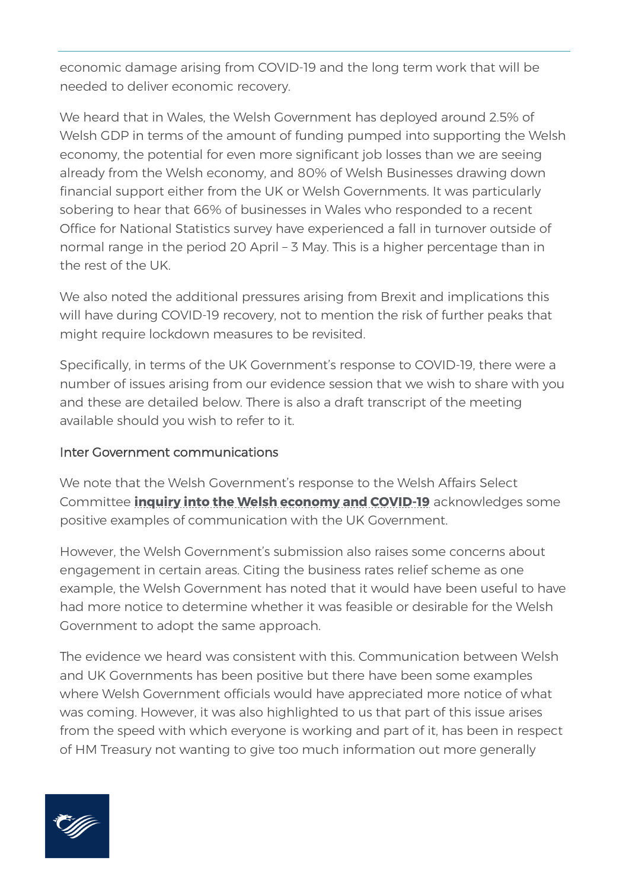economic damage arising from COVID-19 and the long term work that will be needed to deliver economic recovery.

We heard that in Wales, the Welsh Government has deployed around 2.5% of Welsh GDP in terms of the amount of funding pumped into supporting the Welsh economy, the potential for even more significant job losses than we are seeing already from the Welsh economy, and 80% of Welsh Businesses drawing down financial support either from the UK or Welsh Governments. It was particularly sobering to hear that 66% of businesses in Wales who responded to a recent Office for National Statistics survey have experienced a fall in turnover outside of normal range in the period 20 April – 3 May. This is a higher percentage than in the rest of the UK.

We also noted the additional pressures arising from Brexit and implications this will have during COVID-19 recovery, not to mention the risk of further peaks that might require lockdown measures to be revisited.

Specifically, in terms of the UK Government's response to COVID-19, there were a number of issues arising from our evidence session that we wish to share with you and these are detailed below. There is also a [draft transcript](https://record.senedd.wales/Committee/6351) of the meeting available should you wish to refer to it.

### Inter Government communications

We note that the Welsh Government's response to the Welsh Affairs Select Committee **[inquiry into the Welsh economy and COVID-19](https://committees.parliament.uk/committee/162/welsh-affairs-committee/news/146112/welsh-affairs-committee-launches-new-inquiry-into-the-welsh-economy-and-covid19/)** acknowledges some positive examples of communication with the UK Government.

However, the Welsh Government's submission also raises some concerns about engagement in certain areas. Citing the business rates relief scheme as one example, the Welsh Government has noted that it would have been useful to have had more notice to determine whether it was feasible or desirable for the Welsh Government to adopt the same approach.

The evidence we heard was consistent with this. Communication between Welsh and UK Governments has been positive but there have been some examples where Welsh Government officials would have appreciated more notice of what was coming. However, it was also highlighted to us that part of this issue arises from the speed with which everyone is working and part of it, has been in respect of HM Treasury not wanting to give too much information out more generally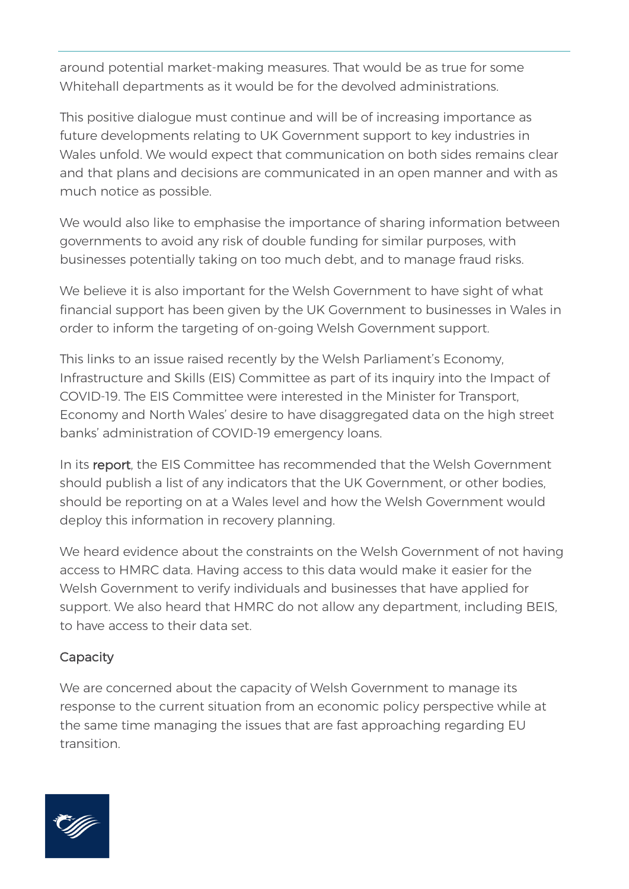around potential market-making measures. That would be as true for some Whitehall departments as it would be for the devolved administrations.

This positive dialogue must continue and will be of increasing importance as future developments relating to UK Government support to key industries in Wales unfold. We would expect that communication on both sides remains clear and that plans and decisions are communicated in an open manner and with as much notice as possible.

We would also like to emphasise the importance of sharing information between governments to avoid any risk of double funding for similar purposes, with businesses potentially taking on too much debt, and to manage fraud risks.

We believe it is also important for the Welsh Government to have sight of what financial support has been given by the UK Government to businesses in Wales in order to inform the targeting of on-going Welsh Government support.

This links to an issue raised recently by the Welsh Parliament's Economy, Infrastructure and Skills (EIS) Committee as part of its inquiry into the Impact of COVID-19. The EIS Committee were interested in the Minister for Transport, Economy and North Wales' desire to have disaggregated data on the high street banks' administration of COVID-19 emergency loans.

In its [report,](https://senedd.wales/laid%20documents/cr-ld13213/cr-ld13213%20-e.pdf) the EIS Committee has recommended that the Welsh Government should publish a list of any indicators that the UK Government, or other bodies, should be reporting on at a Wales level and how the Welsh Government would deploy this information in recovery planning.

We heard evidence about the constraints on the Welsh Government of not having access to HMRC data. Having access to this data would make it easier for the Welsh Government to verify individuals and businesses that have applied for support. We also heard that HMRC do not allow any department, including BEIS, to have access to their data set.

# **Capacity**

We are concerned about the capacity of Welsh Government to manage its response to the current situation from an economic policy perspective while at the same time managing the issues that are fast approaching regarding EU transition.